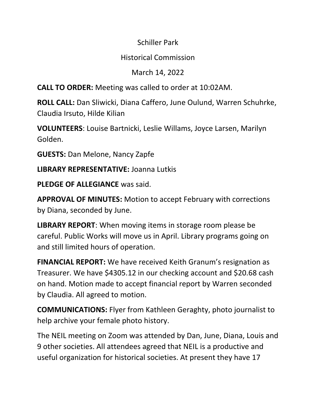## Schiller Park

## Historical Commission

## March 14, 2022

**CALL TO ORDER:** Meeting was called to order at 10:02AM.

**ROLL CALL:** Dan Sliwicki, Diana Caffero, June Oulund, Warren Schuhrke, Claudia Irsuto, Hilde Kilian

**VOLUNTEERS**: Louise Bartnicki, Leslie Willams, Joyce Larsen, Marilyn Golden.

**GUESTS:** Dan Melone, Nancy Zapfe

**LIBRARY REPRESENTATIVE:** Joanna Lutkis

**PLEDGE OF ALLEGIANCE** was said.

**APPROVAL OF MINUTES:** Motion to accept February with corrections by Diana, seconded by June.

**LIBRARY REPORT**: When moving items in storage room please be careful. Public Works will move us in April. Library programs going on and still limited hours of operation.

**FINANCIAL REPORT:** We have received Keith Granum's resignation as Treasurer. We have \$4305.12 in our checking account and \$20.68 cash on hand. Motion made to accept financial report by Warren seconded by Claudia. All agreed to motion.

**COMMUNICATIONS:** Flyer from Kathleen Geraghty, photo journalist to help archive your female photo history.

The NEIL meeting on Zoom was attended by Dan, June, Diana, Louis and 9 other societies. All attendees agreed that NEIL is a productive and useful organization for historical societies. At present they have 17